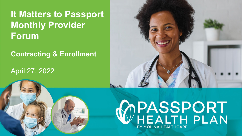# **It Matters to Passport Monthly Provider Forum**

#### **Contracting & Enrollment**

### April 27, 2022



# WPASSPORT<br>WHEALTH PLAN BY MOLINA HEALTHCARE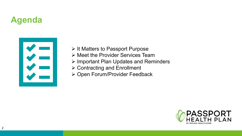## **Agenda**



- $\triangleright$  [It Matters to Passport Purpose](#page-2-0)
- [Meet the Provider Services Team](#page-3-0)
- > [Important Plan Updates and Reminders](#page-4-0)
- [Contracting and Enrollment](#page-9-0)
- [Open Forum/Provider Feedback](#page-13-0)

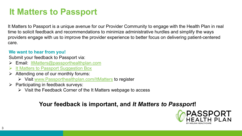### <span id="page-2-0"></span>**It Matters to Passport**

It Matters to Passport is a unique avenue for our Provider Community to engage with the Health Plan in real time to solicit feedback and recommendations to minimize administrative hurdles and simplify the ways providers engage with us to improve the provider experience to better focus on delivering patient-centered care.

#### **We want to hear from you!**

Submit your feedback to Passport via:

- Email: [ItMatters@passporthealthplan.com](mailto:ItMatters@passporthealthplan.com)
- [It Matters to Passport Suggestion Box](https://www.surveymonkey.com/r/SPW988L)
- Attending one of our monthly forums:
	- Visit [www.Passporthealthplan.com/ItMatters](https://www.passporthealthplan.com/ItMatters) to register
- $\triangleright$  Participating in feedback surveys:
	- $\triangleright$  Visit the Feedback Corner of the It Matters webpage to access

#### **Your feedback is important, and** *It Matters to Passport***!**

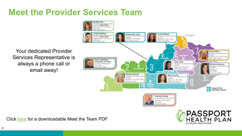### <span id="page-3-0"></span>**Meet the Provider Services Team**

Your dedicated Provider Services Representative is always a phone call or email away!





Click [here](https://www.molinahealthcare.com/-/media/Molina/PublicWebsite/PDF/Providers/ky/medicaid/MeetTheTeam.pdf) for a downloadable Meet the Team PDF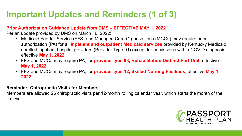# <span id="page-4-0"></span>**Important Updates and Reminders (1 of 3)**

#### **Prior Authorization Guidance Update from DMS – EFFECTIVE MAY 1, 2022**

Per an update provided by DMS on March 16, 2022:

- Medicaid Fee-for-Service (FFS) and Managed Care Organizations (MCOs) may require prior authorization (PA) for all **inpatient and outpatient Medicaid services** provided by Kentucky Medicaid enrolled inpatient hospital providers (Provider Type 01) except for admissions with a COVID diagnosis, effective **May 1, 2022**
- FFS and MCOs may require PA, for **provider type 93, Rehabilitation Distinct Part Unit**, effective **May 1, 2022**
- FFS and MCOs may require PA, for **provider type 12, Skilled Nursing Facilities**, effective **May 1, 2022**

#### **Reminder: Chiropractic Visits for Members**

Members are allowed 26 chiropractic visits per 12-month rolling calendar year, which starts the month of the first visit.

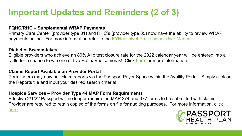### **Important Updates and Reminders (2 of 3)**

#### **FQHC/RHC – Supplemental WRAP Payments**

Primary Care Center (provider type 31) and RHC's (provider type 35) now have the ability to review WRAP payments online. For more information refer to the KYHealthNet [Professional User Manual](http://www.kymmis.com/kymmis/pdf/KYHealthNet%20Professional%20User%20Manual%20v4.8_Final.pdf).

#### **Diabetes Sweepstakes**

Eligible providers who achieve an 80% A1c test closure rate for the 2022 calendar year will be entered into a raffle for a chance to win one of five RetinaVue cameras! Click [here](https://www.molinahealthcare.com/providers/ky/medicaid/comm/newsarticlepage.aspx?ArticleID=121&lob=&type=IsNewsMediaSpecial&year=All&State=ALL&ArticlePageLink=/providers/ky/medicaid/comm/newsarticlepage.aspx) for more information.

#### **Claims Report Available on Provider Portal**

Portal users may now pull claim reports via the Passport Payer Space within the Availity Portal. Simply click on the Reports tile and input your desired search criteria!

#### **Hospice Services – Provider Type 44 MAP Form Requirements**

Effective 2/1/22 Passport will no longer require the MAP 374 and 377 forms to be submitted with claims. Provider are required to retain copied of the forms on file for auditing purposes. For more information, click [here](https://www.molinahealthcare.com/providers/ky/medicaid/comm/newsarticlepage.aspx?ArticleID=108&lob=&type=IsNewsMediaSpecial&year=All&State=ALL&ArticlePageLink=/providers/ky/medicaid/comm/newsarticlepage.aspx).

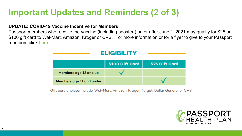### **Important Updates and Reminders (2 of 3)**

#### **UPDATE: COVID-19 Vaccine Incentive for Members**

7

Passport members who receive the vaccine (including booster!) on or after June 1, 2021 may quality for \$25 or \$100 gift card to Wal-Mart, Amazon, Kroger or CVS. For more information or for a flyer to give to your Passport members click [here](https://www.molinahealthcare.com/members/ky/en-us/-/media/Molina/PublicWebsite/PDF/members/ky/en-us/Medicaid/COVID-Flyers/Molina-KY-1100_COVID-Vaccine-Incentive_NEW_R.pdf).

| <b>ELIGIBILITY</b>                                                                 |                 |                |
|------------------------------------------------------------------------------------|-----------------|----------------|
|                                                                                    | \$100 Gift Card | \$25 Gift Card |
| Members age 12 and up                                                              |                 |                |
| Members age 11 and under                                                           |                 |                |
| Gift card choices include: Wal-Mart, Amazon, Kroger, Target, Dollar General or CVS |                 |                |

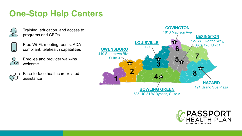### **One-Stop Help Centers**



Training, education, and access to programs and CBOs



Free Wi-Fi, meeting rooms, ADA compliant, telehealth capabilities



Enrollee and provider walk-ins welcome



Face-to-face healthcare-related assistance



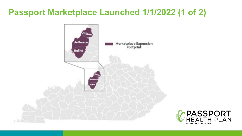### **Passport Marketplace Launched 1/1/2022 (1 of 2)**



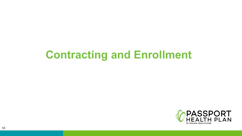# <span id="page-9-0"></span>**Contracting and Enrollment**

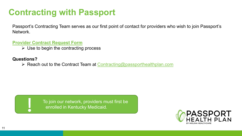### **Contracting with Passport**

Passport's Contracting Team serves as our first point of contact for providers who wish to join Passport's Network.

**[Provider Contract Request Form](https://www.molinahealthcare.com/-/media/Molina/PublicWebsite/PDF/Providers/ky/medicaid/ProviderContractRequestForm.pdf)**

 $\triangleright$  Use to begin the contracting process

#### **Questions?**

 $\triangleright$  Reach out to the Contract Team at [Contracting@passporthealthplan.com](mailto:Contracting@passporthealthplan.com)



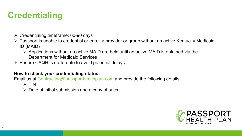### **Credentialing**

- $\triangleright$  Credentialing timeframe: 60-90 days
- Passport is unable to credential or enroll a provider or group without an active Kentucky Medicaid ID (MAID)
	- $\triangleright$  Applications without an active MAID are held until an active MAID is obtained via the Department for Medicaid Services
- $\triangleright$  Ensure CAQH is up-to-date to avoid potential delays

#### **How to check your credentialing status:**

Email us at **Contracting@passporthealthplan.com** and provide the following details:

- $\triangleright$  TIN
- $\triangleright$  Date of initial submission and a copy of such

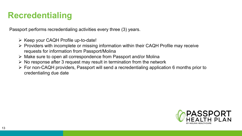### **Recredentialing**

Passport performs recredentialing activities every three (3) years.

- $\triangleright$  Keep your CAQH Profile up-to-date!
- $\triangleright$  Providers with incomplete or missing information within their CAQH Profile may receive requests for information from Passport/Molina
- Make sure to open all correspondence from Passport and/or Molina
- $\triangleright$  No response after 3 request may result in termination from the network
- For non-CAQH providers, Passport will send a recredentialing application 6 months prior to credentialing due date

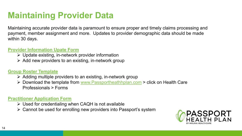### <span id="page-13-0"></span>**Maintaining Provider Data**

Maintaining accurate provider data is paramount to ensure proper and timely claims processing and payment, member assignment and more. Updates to provider demographic data should be made within 30 days.

#### **[Provider Information Upate](https://www.molinahealthcare.com/-/media/Molina/PublicWebsite/PDF/Providers/ky/medicaid/ProvInfoUpdateForm-requestedchanges_26736_nob_FNL_R.pdf) Form**

- $\triangleright$  Update existing, in-network provider information
- $\triangleright$  Add new providers to an existing, in-network group

#### **[Group Roster Template](https://www.molinahealthcare.com/providers/ky/medicaid/forms/fuf.aspx)**

- $\triangleright$  Adding multiple providers to an existing, in-network group
- ▶ Download the template from [www.Passportheathhplan.com](https://www.passportheatlhplan.com/) > click on Health Care Professionals > Forms

#### **[Practitioner Application Form](https://www.molinahealthcare.com/-/media/Molina/PublicWebsite/PDF/Providers/ky/medicaid/MCD-PractitionerApplicationForm_27791_nob_FNL_R.pdf)**

- $\triangleright$  Used for credentialing when CAQH is not available
- Cannot be used for enrolling new providers into Passport's system

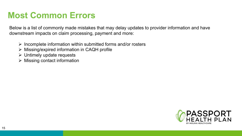### **Most Common Errors**

Below is a list of commonly made mistakes that may delay updates to provider information and have downstream impacts on claim processing, payment and more:

- $\triangleright$  Incomplete information within submitted forms and/or rosters
- Missing/expired information in CAQH profile
- $\triangleright$  Untimely update requests
- $\triangleright$  Missing contact information